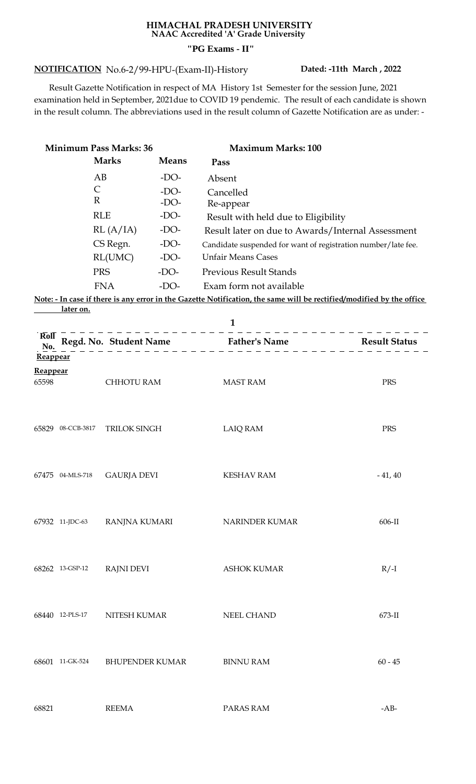## **HIMACHAL PRADESH UNIVERSITY NAAC Accredited 'A' Grade University "PG Exams - II"**

## **NOTIFICATION Dated: -11th March , 2022** No.6-2/99-HPU-(Exam-II)-History

 Result Gazette Notification in respect of MA History 1st Semester for the session June, 2021 examination held in September, 2021due to COVID 19 pendemic. The result of each candidate is shown in the result column. The abbreviations used in the result column of Gazette Notification are as under: -

| <b>Minimum Pass Marks: 36</b>   |                   |                        |              | <b>Maximum Marks: 100</b>                                                                                            |           |  |
|---------------------------------|-------------------|------------------------|--------------|----------------------------------------------------------------------------------------------------------------------|-----------|--|
|                                 |                   | <b>Marks</b>           | <b>Means</b> | Pass                                                                                                                 |           |  |
|                                 | AB                |                        | $-DO-$       | Absent                                                                                                               |           |  |
|                                 | $\mathsf{C}$      |                        | $-DO-$       | Cancelled                                                                                                            |           |  |
|                                 | $\mathbb{R}$      |                        | $-DO-$       | Re-appear                                                                                                            |           |  |
|                                 |                   | <b>RLE</b>             | $-DO-$       | Result with held due to Eligibility                                                                                  |           |  |
|                                 |                   | RL(A/IA)               | $-DO-$       | Result later on due to Awards/Internal Assessment                                                                    |           |  |
|                                 |                   | CS Regn.               | $-DO-$       | Candidate suspended for want of registration number/late fee.                                                        |           |  |
|                                 |                   | RL(UMC)                | $-DO-$       | <b>Unfair Means Cases</b>                                                                                            |           |  |
|                                 |                   | <b>PRS</b>             | $-DO-$       | <b>Previous Result Stands</b>                                                                                        |           |  |
|                                 |                   | <b>FNA</b>             | $-DO-$       | Exam form not available                                                                                              |           |  |
|                                 |                   |                        |              | Note: - In case if there is any error in the Gazette Notification, the same will be rectified/modified by the office |           |  |
|                                 | <u>later on.</u>  |                        |              | $\mathbf{1}$                                                                                                         |           |  |
| $\overline{\text{Roll}}$<br>No. |                   |                        |              | Regd. No. Student Name<br>$\frac{1}{2}$ Father's Name<br>$\frac{1}{2}$ Result Status<br>$\frac{1}{2}$ Result Status  |           |  |
| Reappear                        |                   |                        |              |                                                                                                                      |           |  |
| Reappear                        |                   |                        |              |                                                                                                                      |           |  |
| 65598                           |                   | <b>CHHOTU RAM</b>      |              | <b>MAST RAM</b>                                                                                                      | PRS       |  |
|                                 |                   |                        |              |                                                                                                                      |           |  |
|                                 |                   |                        |              |                                                                                                                      |           |  |
|                                 | 65829 08-CCB-3817 | <b>TRILOK SINGH</b>    |              | <b>LAIQ RAM</b>                                                                                                      | PRS       |  |
|                                 |                   |                        |              |                                                                                                                      |           |  |
|                                 |                   |                        |              |                                                                                                                      |           |  |
|                                 | 67475 04-MLS-718  | <b>GAURJA DEVI</b>     |              | <b>KESHAV RAM</b>                                                                                                    | $-41, 40$ |  |
|                                 |                   |                        |              |                                                                                                                      |           |  |
|                                 |                   |                        |              |                                                                                                                      |           |  |
|                                 |                   |                        |              |                                                                                                                      |           |  |
|                                 | 67932 11-JDC-63   | RANJNA KUMARI          |              | <b>NARINDER KUMAR</b>                                                                                                | 606-II    |  |
|                                 |                   |                        |              |                                                                                                                      |           |  |
|                                 |                   |                        |              |                                                                                                                      |           |  |
|                                 | 68262 13-GSP-12   | <b>RAJNI DEVI</b>      |              | <b>ASHOK KUMAR</b>                                                                                                   | $R/-I$    |  |
|                                 |                   |                        |              |                                                                                                                      |           |  |
|                                 |                   |                        |              |                                                                                                                      |           |  |
|                                 | 68440 12-PLS-17   | NITESH KUMAR           |              | NEEL CHAND                                                                                                           | 673-II    |  |
|                                 |                   |                        |              |                                                                                                                      |           |  |
|                                 |                   |                        |              |                                                                                                                      |           |  |
|                                 |                   |                        |              |                                                                                                                      |           |  |
|                                 | 68601 11-GK-524   | <b>BHUPENDER KUMAR</b> |              | <b>BINNU RAM</b>                                                                                                     | $60 - 45$ |  |
|                                 |                   |                        |              |                                                                                                                      |           |  |
|                                 |                   |                        |              |                                                                                                                      |           |  |

68821 REEMA PARAS RAM -AB-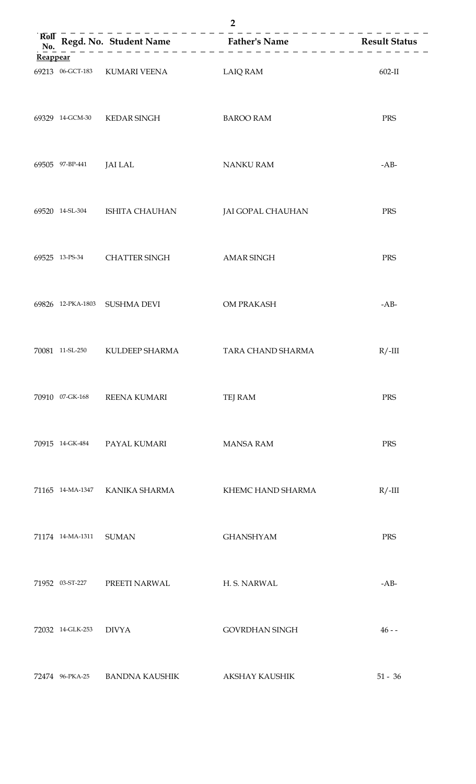| Reappear |                  |                                |                       |            |
|----------|------------------|--------------------------------|-----------------------|------------|
|          |                  | 69213 06-GCT-183 KUMARI VEENA  | LAIQ RAM              | $602-II$   |
|          |                  | 69329 14-GCM-30 KEDAR SINGH    | <b>BAROO RAM</b>      | PRS        |
|          | 69505 97-BP-441  | JAI LAL                        | <b>NANKU RAM</b>      | $-AB-$     |
|          |                  | 69520 14-SL-304 ISHITA CHAUHAN | JAI GOPAL CHAUHAN     | PRS        |
|          |                  | 69525 13-PS-34 CHATTER SINGH   | <b>AMAR SINGH</b>     | PRS        |
|          |                  | 69826 12-PKA-1803 SUSHMA DEVI  | OM PRAKASH            | $-AB-$     |
|          |                  | 70081 11-SL-250 KULDEEP SHARMA | TARA CHAND SHARMA     | $R/$ -III  |
|          | 70910 07-GK-168  | <b>REENA KUMARI</b>            | TEJ RAM               | <b>PRS</b> |
|          | 70915 14-GK-484  | PAYAL KUMARI                   | <b>MANSA RAM</b>      | PRS        |
|          | 71165 14-MA-1347 | KANIKA SHARMA                  | KHEMC HAND SHARMA     | $R/$ -III  |
|          | 71174 14-MA-1311 | <b>SUMAN</b>                   | <b>GHANSHYAM</b>      | PRS        |
|          | 71952 03-ST-227  | PREETI NARWAL                  | H. S. NARWAL          | $-AB-$     |
|          | 72032 14-GLK-253 | <b>DIVYA</b>                   | <b>GOVRDHAN SINGH</b> | $46 -$     |
|          | 72474 96-PKA-25  | <b>BANDNA KAUSHIK</b>          | AKSHAY KAUSHIK        | $51 - 36$  |